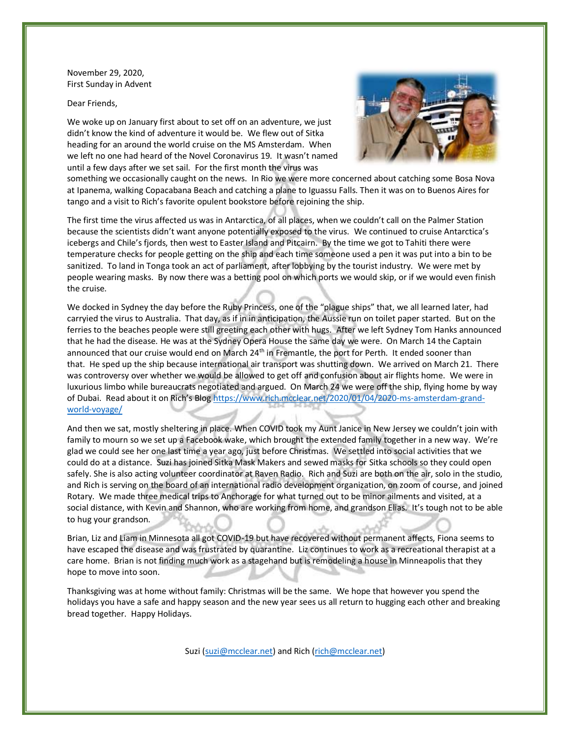November 29, 2020, First Sunday in Advent

Dear Friends,

We woke up on January first about to set off on an adventure, we just didn't know the kind of adventure it would be. We flew out of Sitka heading for an around the world cruise on the MS Amsterdam. When we left no one had heard of the Novel Coronavirus 19. It wasn't named until a few days after we set sail. For the first month the virus was



something we occasionally caught on the news. In Rio we were more concerned about catching some Bosa Nova at Ipanema, walking Copacabana Beach and catching a plane to Iguassu Falls. Then it was on to Buenos Aires for tango and a visit to Rich's favorite opulent bookstore before rejoining the ship.

The first time the virus affected us was in Antarctica, of all places, when we couldn't call on the Palmer Station because the scientists didn't want anyone potentially exposed to the virus. We continued to cruise Antarctica's icebergs and Chile's fjords, then west to Easter Island and Pitcairn. By the time we got to Tahiti there were temperature checks for people getting on the ship and each time someone used a pen it was put into a bin to be sanitized. To land in Tonga took an act of parliament, after lobbying by the tourist industry. We were met by people wearing masks. By now there was a betting pool on which ports we would skip, or if we would even finish the cruise.

We docked in Sydney the day before the Ruby Princess, one of the "plague ships" that, we all learned later, had carryied the virus to Australia. That day, as if in in anticipation, the Aussie run on toilet paper started. But on the ferries to the beaches people were still greeting each other with hugs. After we left Sydney Tom Hanks announced that he had the disease. He was at the Sydney Opera House the same day we were. On March 14 the Captain announced that our cruise would end on March 24<sup>th</sup> in Fremantle, the port for Perth. It ended sooner than that. He sped up the ship because international air transport was shutting down. We arrived on March 21. There was controversy over whether we would be allowed to get off and confusion about air flights home. We were in luxurious limbo while bureaucrats negotiated and argued. On March 24 we were off the ship, flying home by way of Dubai. Read about it on Rich's Blog https://www.rich.mcclear.net/2020/01/04/2020-ms-amsterdam-grandworld-voyage/

And then we sat, mostly sheltering in place. When COVID took my Aunt Janice in New Jersey we couldn't join with family to mourn so we set up a Facebook wake, which brought the extended family together in a new way. We're glad we could see her one last time a year ago, just before Christmas. We settled into social activities that we could do at a distance. Suzi has joined Sitka Mask Makers and sewed masks for Sitka schools so they could open safely. She is also acting volunteer coordinator at Raven Radio. Rich and Suzi are both on the air, solo in the studio, and Rich is serving on the board of an international radio development organization, on zoom of course, and joined Rotary. We made three medical trips to Anchorage for what turned out to be minor ailments and visited, at a social distance, with Kevin and Shannon, who are working from home, and grandson Elias. It's tough not to be able to hug your grandson.

Brian, Liz and Liam in Minnesota all got COVID-19 but have recovered without permanent affects, Fiona seems to have escaped the disease and was frustrated by quarantine. Liz continues to work as a recreational therapist at a care home. Brian is not finding much work as a stagehand but is remodeling a house in Minneapolis that they hope to move into soon.

Thanksgiving was at home without family: Christmas will be the same. We hope that however you spend the holidays you have a safe and happy season and the new year sees us all return to hugging each other and breaking bread together. Happy Holidays.

Suzi (suzi@mcclear.net) and Rich (rich@mcclear.net)